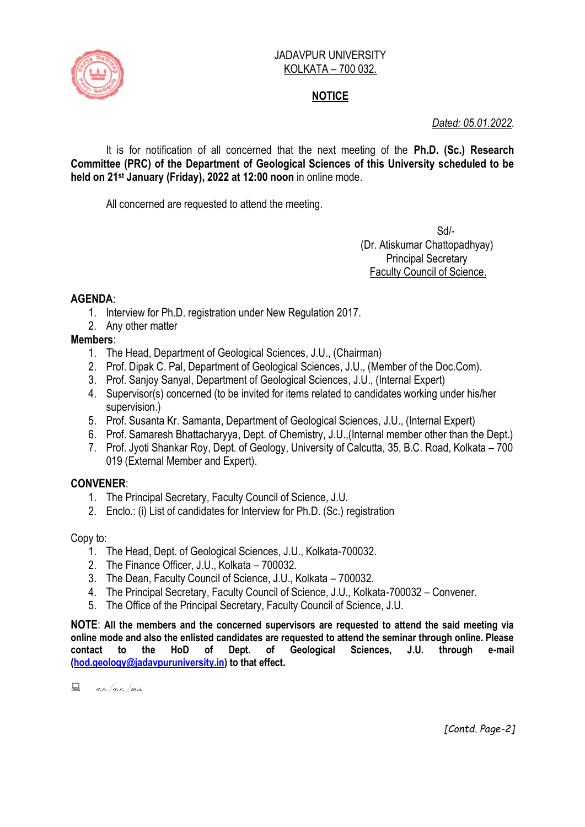

#### JADAVPUR UNIVERSITY KOLKATA – 700 032.

# **NOTICE**

#### *Dated: 05.01.2022.*

It is for notification of all concerned that the next meeting of the **Ph.D. (Sc.) Research Committee (PRC) of the Department of Geological Sciences of this University scheduled to be held on 21st January (Friday), 2022 at 12:00 noon** in online mode.

All concerned are requested to attend the meeting.

Sd/- (Dr. Atiskumar Chattopadhyay) Principal Secretary Faculty Council of Science.

## **AGENDA**:

- 1. Interview for Ph.D. registration under New Regulation 2017.
- 2. Any other matter

## **Members**:

- 1. The Head, Department of Geological Sciences, J.U., (Chairman)
- 2. Prof. Dipak C. Pal, Department of Geological Sciences, J.U., (Member of the Doc.Com).
- 3. Prof. Sanjoy Sanyal, Department of Geological Sciences, J.U., (Internal Expert)
- 4. Supervisor(s) concerned (to be invited for items related to candidates working under his/her supervision.)
- 5. Prof. Susanta Kr. Samanta, Department of Geological Sciences, J.U., (Internal Expert)
- 6. Prof. Samaresh Bhattacharyya, Dept. of Chemistry, J.U.,(Internal member other than the Dept.)
- 7. Prof. Jyoti Shankar Roy, Dept. of Geology, University of Calcutta, 35, B.C. Road, Kolkata 700 019 (External Member and Expert).

## **CONVENER**:

- 1. The Principal Secretary, Faculty Council of Science, J.U.
- 2. Enclo.: (i) List of candidates for Interview for Ph.D. (Sc.) registration

Copy to:

- 1. The Head, Dept. of Geological Sciences, J.U., Kolkata-700032.
- 2. The Finance Officer, J.U., Kolkata 700032.
- 3. The Dean, Faculty Council of Science, J.U., Kolkata 700032.
- 4. The Principal Secretary, Faculty Council of Science, J.U., Kolkata-700032 Convener.
- 5. The Office of the Principal Secretary, Faculty Council of Science, J.U.

**NOTE**: **All the members and the concerned supervisors are requested to attend the said meeting via online mode and also the enlisted candidates are requested to attend the seminar through online. Please contact to the HoD of Dept. of Geological Sciences, J.U. through e-mail [\(hod.geology@jadavpuruniversity.in\)](mailto:hod.geology@jadavpuruniversity.in) to that effect.**

 $a.e. /a.r. /m.s.$ 

*[Contd. Page-2]*